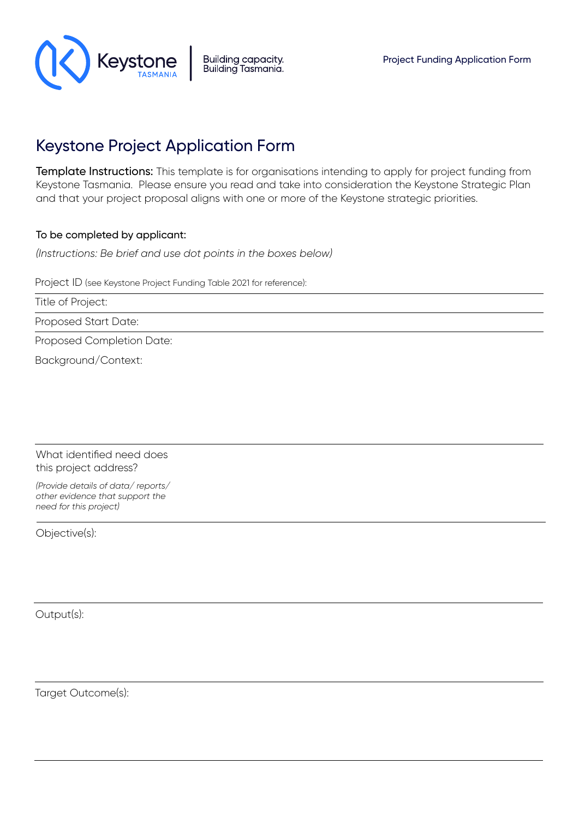

# Keystone Project Application Form

Template Instructions: This template is for organisations intending to apply for project funding from Keystone Tasmania. Please ensure you read and take into consideration the Keystone Strategic Plan and that your project proposal aligns with one or more of the Keystone strategic priorities.

# To be completed by applicant:

*(Instructions: Be brief and use dot points in the boxes below)*

Project ID (see Keystone Project Funding Table 2021 for reference):

Title of Project:

Proposed Start Date:

Proposed Completion Date:

Background/Context:

What identified need does this project address?

*(Provide details of data/ reports/ other evidence that support the need for this project)*

Objective(s):

Output(s):

Target Outcome(s):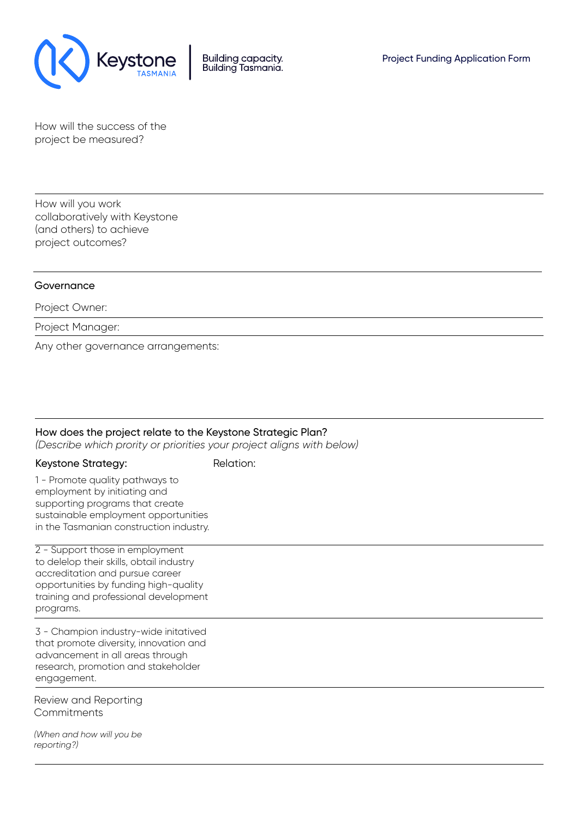

How will the success of the project be measured?

How will you work collaboratively with Keystone (and others) to achieve project outcomes?

#### Governance

#### Project Owner:

Project Manager:

Any other governance arrangements:

## How does the project relate to the Keystone Strategic Plan?

*(Describe which prority or priorities your project aligns with below)*

#### Keystone Strategy: Relation:

1 - Promote quality pathways to employment by initiating and supporting programs that create sustainable employment opportunities in the Tasmanian construction industry.

2 - Support those in employment to delelop their skills, obtail industry accreditation and pursue career opportunities by funding high-quality training and professional development programs.

3 - Champion industry-wide initatived that promote diversity, innovation and advancement in all areas through research, promotion and stakeholder engagement.

Review and Reporting **Commitments** 

*(When and how will you be reporting?)*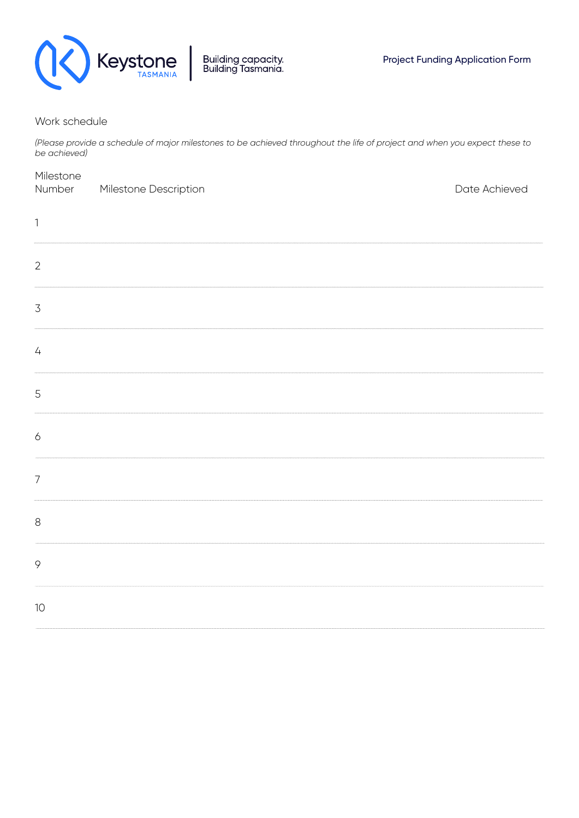

## Work schedule

*(Please provide a schedule of major milestones to be achieved throughout the life of project and when you expect these to be achieved)*

| Milestone<br>Number       | Milestone Description | Date Achieved |
|---------------------------|-----------------------|---------------|
| $\ensuremath{\mathsf{1}}$ |                       |               |
| $\overline{2}$            |                       |               |
| $\overline{\mathcal{S}}$  |                       |               |
| $\sqrt{4}$                |                       |               |
| 5                         |                       |               |
| $\acute{\mathrm{o}}$      |                       |               |
| $\overline{7}$            |                       |               |
| $\,8\,$                   |                       |               |
| 9                         |                       |               |
| 10                        |                       |               |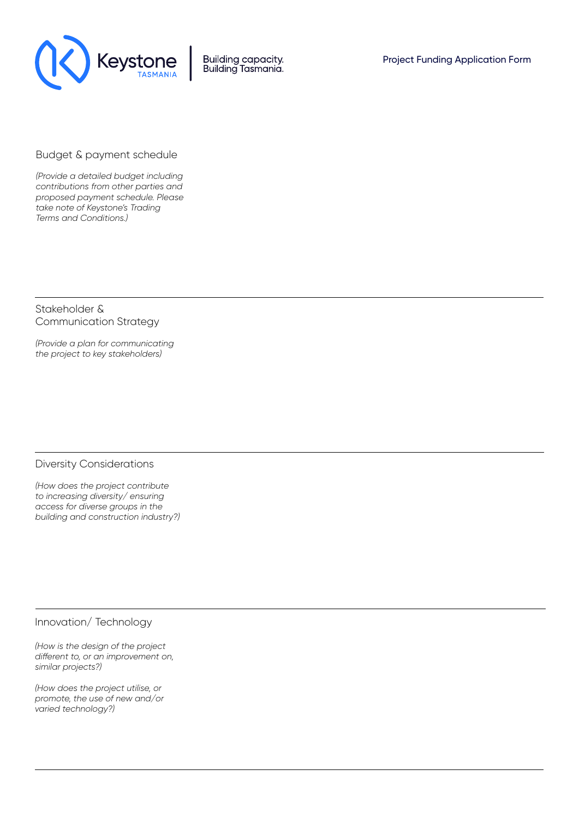

**Building capacity.** Building Tasmania.

## Budget & payment schedule

*(Provide a detailed budget including contributions from other parties and proposed payment schedule. Please take note of Keystone's Trading Terms and Conditions.)*

Stakeholder & Communication Strategy

*(Provide a plan for communicating the project to key stakeholders)*

#### Diversity Considerations

*(How does the project contribute to increasing diversity/ ensuring access for diverse groups in the building and construction industry?)*

Innovation/ Technology

*(How is the design of the project different to, or an improvement on, similar projects?)*

*(How does the project utilise, or promote, the use of new and/or varied technology?)*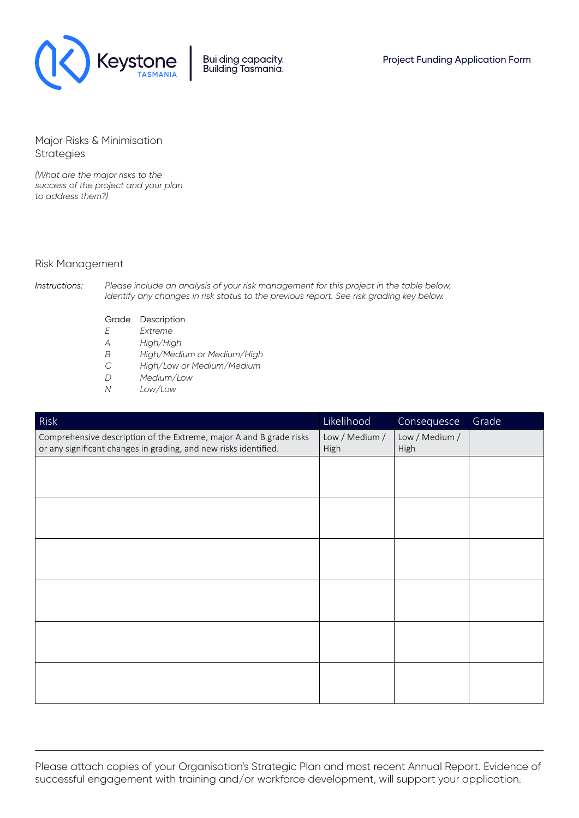

Building capacity.<br>Building Tasmania.

Major Risks & Minimisation Strategies

*(What are the major risks to the success of the project and your plan to address them?)*

#### Risk Management

*Instructions: Please include an analysis of your risk management for this project in the table below. Identify any changes in risk status to the previous report. See risk grading key below.*

- Grade Description
- *E Extreme*
- *A High/High*
- *B High/Medium or Medium/High*
- *C High/Low or Medium/Medium*
- *D Medium/Low*
- *N Low/Low*

| Risk                                                                                                                                    | Likelihood             | Consequesce            | Grade |
|-----------------------------------------------------------------------------------------------------------------------------------------|------------------------|------------------------|-------|
| Comprehensive description of the Extreme, major A and B grade risks<br>or any significant changes in grading, and new risks identified. | Low / Medium /<br>High | Low / Medium /<br>High |       |
|                                                                                                                                         |                        |                        |       |
|                                                                                                                                         |                        |                        |       |
|                                                                                                                                         |                        |                        |       |
|                                                                                                                                         |                        |                        |       |
|                                                                                                                                         |                        |                        |       |
|                                                                                                                                         |                        |                        |       |
|                                                                                                                                         |                        |                        |       |
|                                                                                                                                         |                        |                        |       |
|                                                                                                                                         |                        |                        |       |
|                                                                                                                                         |                        |                        |       |
|                                                                                                                                         |                        |                        |       |
|                                                                                                                                         |                        |                        |       |

Please attach copies of your Organisation's Strategic Plan and most recent Annual Report. Evidence of successful engagement with training and/or workforce development, will support your application.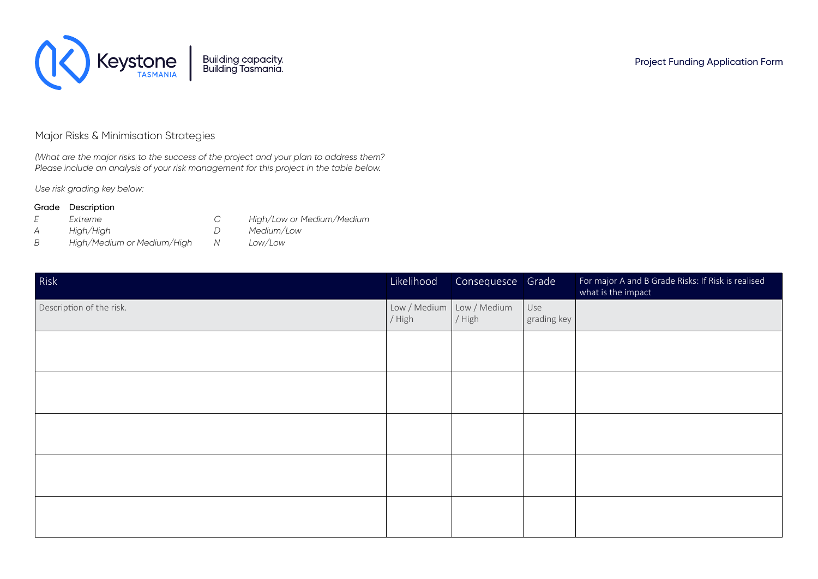

# Major Risks & Minimisation Strategies

*(What are the major risks to the success of the project and your plan to address them? Please include an analysis of your risk management for this project in the table below.* 

*Use risk grading key below:*

#### Grade Description

- *E Extreme*
- *A High/High*
	-
- *C High/Low or Medium/Medium*
- *D Medium/Low*
- *B High/Medium or Medium/High*
- *N Low/Low*

| Risk                     | Likelihood             | Consequesce Grade      |                    | For major A and B Grade Risks: If Risk is realised<br>what is the impact |
|--------------------------|------------------------|------------------------|--------------------|--------------------------------------------------------------------------|
| Description of the risk. | Low / Medium<br>/ High | Low / Medium<br>/ High | Use<br>grading key |                                                                          |
|                          |                        |                        |                    |                                                                          |
|                          |                        |                        |                    |                                                                          |
|                          |                        |                        |                    |                                                                          |
|                          |                        |                        |                    |                                                                          |
|                          |                        |                        |                    |                                                                          |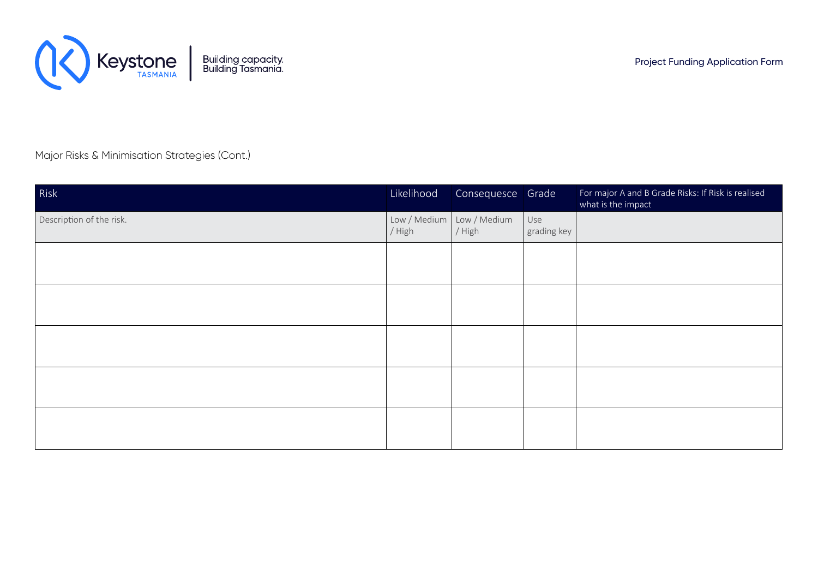

Major Risks & Minimisation Strategies (Cont.)

| Risk                     | Likelihood             | Consequesce Grade      |                    | For major A and B Grade Risks: If Risk is realised<br>what is the impact |
|--------------------------|------------------------|------------------------|--------------------|--------------------------------------------------------------------------|
| Description of the risk. | Low / Medium<br>/ High | Low / Medium<br>/ High | Use<br>grading key |                                                                          |
|                          |                        |                        |                    |                                                                          |
|                          |                        |                        |                    |                                                                          |
|                          |                        |                        |                    |                                                                          |
|                          |                        |                        |                    |                                                                          |
|                          |                        |                        |                    |                                                                          |